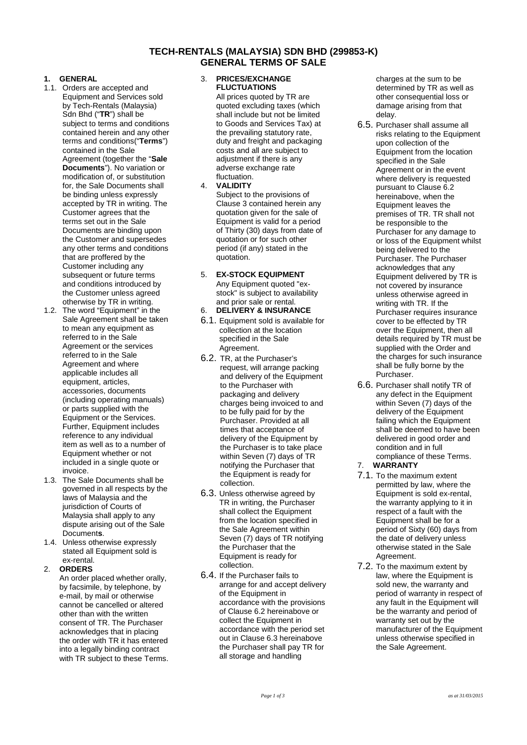### **TECH-RENTALS (MALAYSIA) SDN BHD (299853-K) GENERAL TERMS OF SALE**

#### **1. GENERAL**

- 1.1. Orders are accepted and Equipment and Services sold by Tech-Rentals (Malaysia) Sdn Bhd ("**TR**") shall be subject to terms and conditions contained herein and any other terms and conditions("**Terms**") contained in the Sale Agreement (together the "**Sale Documents**"). No variation or modification of, or substitution for, the Sale Documents shall be binding unless expressly accepted by TR in writing. The Customer agrees that the terms set out in the Sale Documents are binding upon the Customer and supersedes any other terms and conditions that are proffered by the Customer including any subsequent or future terms and conditions introduced by the Customer unless agreed otherwise by TR in writing.
- 1.2. The word "Equipment" in the Sale Agreement shall be taken to mean any equipment as referred to in the Sale Agreement or the services referred to in the Sale Agreement and where applicable includes all equipment, articles, accessories, documents (including operating manuals) or parts supplied with the Equipment or the Services. Further, Equipment includes reference to any individual item as well as to a number of Equipment whether or not included in a single quote or invoice.
- 1.3. The Sale Documents shall be governed in all respects by the laws of Malaysia and the jurisdiction of Courts of Malaysia shall apply to any dispute arising out of the Sale Document**s**.
- 1.4. Unless otherwise expressly stated all Equipment sold is ex-rental.
- 2. **ORDERS**

An order placed whether orally, by facsimile, by telephone, by e-mail, by mail or otherwise cannot be cancelled or altered other than with the written consent of TR. The Purchaser acknowledges that in placing the order with TR it has entered into a legally binding contract with TR subject to these Terms.

#### 3. **PRICES/EXCHANGE FLUCTUATIONS**

All prices quoted by TR are quoted excluding taxes (which shall include but not be limited to Goods and Services Tax) at the prevailing statutory rate. duty and freight and packaging costs and all are subject to adjustment if there is any adverse exchange rate fluctuation.

4. **VALIDITY** Subject to the provisions of Clause 3 contained herein any quotation given for the sale of Equipment is valid for a period of Thirty (30) days from date of quotation or for such other period (if any) stated in the quotation.

#### 5. **EX-STOCK EQUIPMENT** Any Equipment quoted "ex stock" is subject to availability and prior sale or rental.

- 6. **DELIVERY & INSURANCE**
- 6.1. Equipment sold is available for collection at the location specified in the Sale Agreement.
- 6.2. TR, at the Purchaser's request, will arrange packing and delivery of the Equipment to the Purchaser with packaging and delivery charges being invoiced to and to be fully paid for by the Purchaser. Provided at all times that acceptance of delivery of the Equipment by the Purchaser is to take place within Seven (7) days of TR<br>notifying the Purchaser that T notifying the Purchaser that the Equipment is ready for collection.
- 6.3. Unless otherwise agreed by TR in writing, the Purchaser shall collect the Equipment from the location specified in the Sale Agreement within Seven (7) days of TR notifying the Purchaser that the Equipment is ready for collection.
- 6.4. If the Purchaser fails to arrange for and accept delivery of the Equipment in accordance with the provisions of Clause 6.2 hereinabove or collect the Equipment in accordance with the period set out in Clause 6.3 hereinabove the Purchaser shall pay TR for all storage and handling

charges at the sum to be determined by TR as well as other consequential loss or damage arising from that delay.

- 6.5. Purchaser shall assume all risks relating to the Equipment upon collection of the Equipment from the location specified in the Sale Agreement or in the event where delivery is requested pursuant to Clause 6.2 hereinabove, when the Equipment leaves the premises of TR. TR shall not be responsible to the Purchaser for any damage to or loss of the Equipment whilst being delivered to the Purchaser. The Purchaser acknowledges that any Equipment delivered by TR is not covered by insurance unless otherwise agreed in writing with TR. If the Purchaser requires insurance cover to be effected by TR over the Equipment, then all details required by TR must be supplied with the Order and the charges for such insurance shall be fully borne by the Purchaser.
- 6.6. Purchaser shall notify TR of any defect in the Equipment within Seven (7) days of the delivery of the Equipment failing which the Equipment shall be deemed to have been delivered in good order and condition and in full compliance of these Terms.

# 7. **WARRANTY**

- 7.1. To the maximum extent permitted by law, where the Equipment is sold ex-rental, the warranty applying to it in respect of a fault with the Equipment shall be for a period of Sixty (60) days from the date of delivery unless otherwise stated in the Sale Agreement.
- 7.2. To the maximum extent by law, where the Equipment is sold new, the warranty and period of warranty in respect of any fault in the Equipment will be the warranty and period of warranty set out by the manufacturer of the Equipment unless otherwise specified in the Sale Agreement.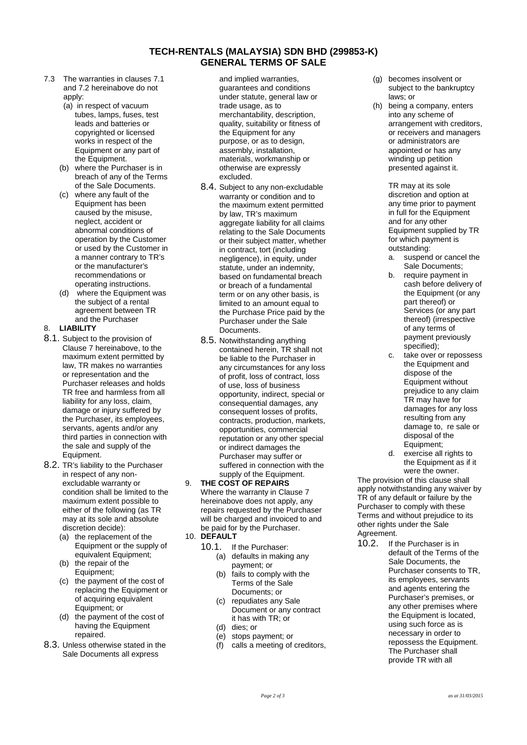## **TECH-RENTALS (MALAYSIA) SDN BHD (299853-K) GENERAL TERMS OF SALE**

- 7.3 The warranties in clauses 7.1 and 7.2 hereinabove do not apply:
	- (a) in respect of vacuum tubes, lamps, fuses, test leads and batteries or copyrighted or licensed works in respect of the Equipment or any part of the Equipment.
	- (b) where the Purchaser is in breach of any of the Terms of the Sale Documents.
	- (c) where any fault of the Equipment has been caused by the misuse, neglect, accident or abnormal conditions of operation by the Customer or used by the Customer in a manner contrary to TR's or the manufacturer's recommendations or operating instructions.
	- where the Equipment was the subject of a rental agreement between TR and the Purchaser

### 8. **LIABILITY**

- 8.1. Subject to the provision of Clause 7 hereinabove, to the maximum extent permitted by law, TR makes no warranties or representation and the Purchaser releases and holds TR free and harmless from all liability for any loss, claim, damage or injury suffered by the Purchaser, its employees, servants, agents and/or any third parties in connection with the sale and supply of the Equipment.
- 8.2. TR's liability to the Purchaser in respect of any non excludable warranty or condition shall be limited to the maximum extent possible to either of the following (as TR may at its sole and absolute
	- discretion decide):<br>(a) the replacemer the replacement of the Equipment or the supply of equivalent Equipment;
	- (b) the repair of the Equipment;
	- (c) the payment of the cost of replacing the Equipment or of acquiring equivalent Equipment; or
	- (d) the payment of the cost of having the Equipment repaired.
- 8.3. Unless otherwise stated in the Sale Documents all express

and implied warranties, guarantees and conditions under statute, general law or trade usage, as to merchantability, description, quality, suitability or fitness of the Equipment for any purpose, or as to design, assembly, installation, materials, workmanship or otherwise are expressly excluded.

- 8.4. Subject to any non-excludable warranty or condition and to the maximum extent permitted by law, TR's maximum aggregate liability for all claims relating to the Sale Documents or their subject matter, whether in contract, tort (including negligence), in equity, under statute, under an indemnity, based on fundamental breach or breach of a fundamental term or on any other basis, is limited to an amount equal to the Purchase Price paid by the Purchaser under the Sale Documents.
- 8.5. Notwithstanding anything contained herein, TR shall not be liable to the Purchaser in any circumstances for any loss of profit, loss of contract, loss of use, loss of business opportunity, indirect, special or consequential damages, any consequent losses of profits, contracts, production, markets, opportunities, commercial reputation or any other special or indirect damages the Purchaser may suffer or suffered in connection with the supply of the Equipment.
- 9. **THE COST OF REPAIRS** Where the warranty in Clause 7 hereinabove does not apply, any repairs requested by the Purchaser will be charged and invoiced to and be paid for by the Purchaser.

### 10. **DEFAULT**

- 10.1. If the Purchaser:<br>(a) defaults in makin defaults in making any payment; or
	- (b) fails to comply with the Terms of the Sale Documents; or
	- (c) repudiates any Sale Document or any contract it has with TR; or
	- (d) dies; or
	- (e) stops payment; or<br>(f) calls a meeting of
	- calls a meeting of creditors,
- (g) becomes insolvent or subject to the bankruptcy laws; or
- (h) being a company, enters into any scheme of arrangement with creditors. or receivers and managers or administrators are appointed or has any winding up petition presented against it.

TR may at its sole discretion and option at any time prior to payment in full for the Equipment and for any other Equipment supplied by TR for which payment is outstanding:

- a. suspend or cancel the Sale Documents;
- b. require payment in cash before delivery of the Equipment (or any part thereof) or Services (or any part thereof) (irrespective of any terms of payment previously specified);
- c. take over or repossess the Equipment and dispose of the Equipment without prejudice to any claim TR may have for damages for any loss resulting from any damage to, re sale or disposal of the Equipment;
- d. exercise all rights to the Equipment as if it were the owner.

The provision of this clause shall apply notwithstanding any waiver by TR of any default or failure by the Purchaser to comply with these Terms and without prejudice to its other rights under the Sale Agreement.

10.2. If the Purchaser is in default of the Terms of the Sale Documents, the Purchaser consents to TR, its employees, servants and agents entering the Purchaser's premises, or any other premises where the Equipment is located, using such force as is necessary in order to repossess the Equipment. The Purchaser shall provide TR with all